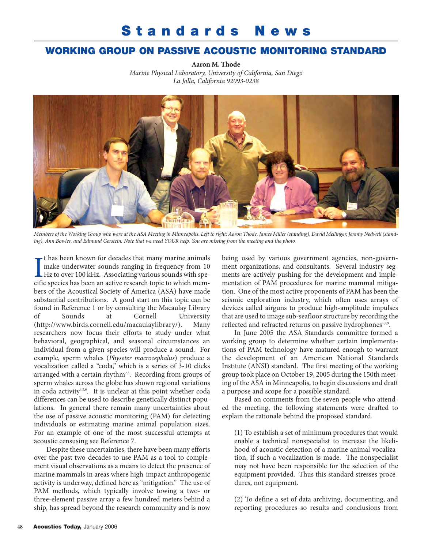## **Standards News**

## **WORKING GROUP ON PASSIVE ACOUSTIC MONITORING STANDARD**

**Aaron M. Thode** *Marine Physical Laboratory, University of California, San Diego La Jolla, California 92093-0238* 



*Members of the Working Group who were at the ASA Meeting in Minneapolis. Left to right: Aaron Thode, James Miller (standing), David Mellinger, Jeremy Nedwell (standing), Ann Bowles, and Edmund Gerstein. Note that we need YOUR help. You are missing from the meeting and the photo.*

I<br>cifi t has been known for decades that many marine animals make underwater sounds ranging in frequency from 10 Hz to over 100 kHz. Associating various sounds with specific species has been an active research topic to which members of the Acoustical Society of America (ASA) have made substantial contributions. A good start on this topic can be found in Reference 1 or by consulting the Macaulay Library of Sounds at Cornell University (http://www.birds.cornell.edu/macaulaylibrary/). Many researchers now focus their efforts to study under what behavioral, geographical, and seasonal circumstances an individual from a given species will produce a sound. For example, sperm whales (*Physeter macrocephalus*) produce a vocalization called a "coda," which is a series of 3-10 clicks arranged with a certain rhythm<sup>2,3</sup>. Recording from groups of sperm whales across the globe has shown regional variations in coda activity<sup>4,5,6</sup>. It is unclear at this point whether coda differences can be used to describe genetically distinct populations. In general there remain many uncertainties about the use of passive acoustic monitoring (PAM) for detecting individuals or estimating marine animal population sizes. For an example of one of the most successful attempts at acoustic censusing see Reference 7.

Despite these uncertainties, there have been many efforts over the past two-decades to use PAM as a tool to complement visual observations as a means to detect the presence of marine mammals in areas where high-impact anthropogenic activity is underway, defined here as "mitigation." The use of PAM methods, which typically involve towing a two- or three-element passive array a few hundred meters behind a ship, has spread beyond the research community and is now

being used by various government agencies, non-government organizations, and consultants. Several industry segments are actively pushing for the development and implementation of PAM procedures for marine mammal mitigation. One of the most active proponents of PAM has been the seismic exploration industry, which often uses arrays of devices called airguns to produce high-amplitude impulses that are used to image sub-seafloor structure by recording the reflected and refracted returns on passive hydrophones<sup>1,8,9</sup>.

In June 2005 the ASA Standards committee formed a working group to determine whether certain implementations of PAM technology have matured enough to warrant the development of an American National Standards Institute (ANSI) standard. The first meeting of the working group took place on October 19, 2005 during the 150th meeting of the ASA in Minneapolis, to begin discussions and draft a purpose and scope for a possible standard.

Based on comments from the seven people who attended the meeting, the following statements were drafted to explain the rationale behind the proposed standard.

(1) To establish a set of minimum procedures that would enable a technical nonspecialist to increase the likelihood of acoustic detection of a marine animal vocalization, if such a vocalization is made. The nonspecialist may not have been responsible for the selection of the equipment provided. Thus this standard stresses procedures, not equipment.

(2) To define a set of data archiving, documenting, and reporting procedures so results and conclusions from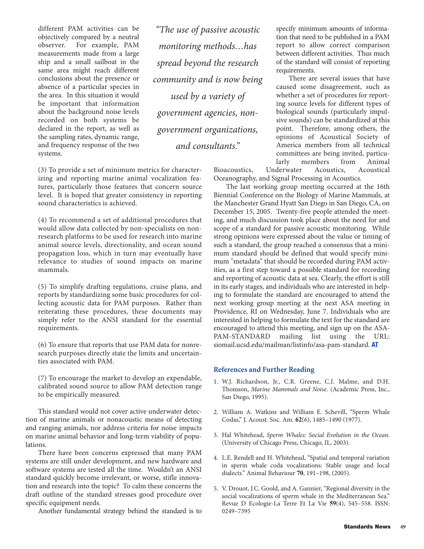different PAM activities can be objectively compared by a neutral observer. For example, PAM measurements made from a large ship and a small sailboat in the same area might reach different conclusions about the presence or absence of a particular species in the area. In this situation it would be important that information about the background noise levels recorded on both systems be declared in the report, as well as the sampling rates, dynamic range, and frequency response of the two systems.

*"The use of passive acoustic monitoring methods…has spread beyond the research community and is now being used by a variety of government agencies, nongovernment organizations, and consultants."*

(3) To provide a set of minimum metrics for characterizing and reporting marine animal vocalization features, particularly those features that concern source level. It is hoped that greater consistency in reporting sound characteristics is achieved.

(4) To recommend a set of additional procedures that would allow data collected by non-specialists on nonresearch platforms to be used for research into marine animal source levels, directionality, and ocean sound propagation loss, which in turn may eventually have relevance to studies of sound impacts on marine mammals.

(5) To simplify drafting regulations, cruise plans, and reports by standardizing some basic procedures for collecting acoustic data for PAM purposes. Rather than reiterating these procedures, these documents may simply refer to the ANSI standard for the essential requirements.

(6) To ensure that reports that use PAM data for nonresearch purposes directly state the limits and uncertainties associated with PAM.

(7) To encourage the market to develop an expendable, calibrated sound source to allow PAM detection range to be empirically measured.

This standard would not cover active underwater detection of marine animals or nonacoustic means of detecting and ranging animals, nor address criteria for noise impacts on marine animal behavior and long-term viability of populations.

There have been concerns expressed that many PAM systems are still under development, and new hardware and software systems are tested all the time. Wouldn't an ANSI standard quickly become irrelevant, or worse, stifle innovation and research into the topic? To calm these concerns the draft outline of the standard stresses good procedure over specific equipment needs.

Another fundamental strategy behind the standard is to

specify minimum amounts of information that need to be published in a PAM report to allow correct comparison between different activities. Thus much of the standard will consist of reporting requirements.

There are several issues that have caused some disagreement, such as whether a set of procedures for reporting source levels for different types of biological sounds (particularly impulsive sounds) can be standardized at this point. Therefore, among others, the opinions of Acoustical Society of America members from all technical committees are being invited, particularly members from Animal

Bioacoustics, Underwater Acoustics, Acoustical Oceanography, and Signal Processing in Acoustics.

The last working group meeting occurred at the 16th Biennial Conference on the Biology of Marine Mammals, at the Manchester Grand Hyatt San Diego in San Diego, CA, on December 15, 2005. Twenty-five people attended the meeting, and much discussion took place about the need for and scope of a standard for passive acoustic monitoring. While strong opinions were expressed about the value or timing of such a standard, the group reached a consensus that a minimum standard should be defined that would specify minimum "metadata" that should be recorded during PAM activities, as a first step toward a possible standard for recording and reporting of acoustic data at sea. Clearly, the effort is still in its early stages, and individuals who are interested in helping to formulate the standard are encouraged to attend the next working group meeting at the next ASA meeting in Providence, RI on Wednesday, June 7. Individuals who are interested in helping to formulate the text for the standard are encouraged to attend this meeting, and sign up on the ASA-PAM-STANDARD mailing list using the URL: siomail.ucsd.edu/mailman/listinfo/asa-pam-standard. **AT**

## **References and Further Reading**

- 1. W.J. Richardson, Jr., C.R. Greene, C.I. Malme, and D.H. Thomson, *Marine Mammals and Noise*. (Academic Press, Inc., San Diego, 1995).
- 2. William A. Watkins and William E. Schevill, "Sperm Whale Codas," J. Acoust. Soc. Am. **62**(6), 1485–1490 (1977).
- 3. Hal Whitehead, *Sperm Whales: Social Evolution in the Ocean*. (University of Chicago Press, Chicago, IL, 2003).
- 4. L.E. Rendell and H. Whitehead, "Spatial and temporal variation in sperm whale coda vocalizations: Stable usage and local dialects." Animal Behaviour **70**, 191–198, (2005).
- 5. V. Drouot, J.C. Goold, and A. Gannier, "Regional diversity in the social vocalizations of sperm whale in the Mediterranean Sea." Revue D Ecologie-La Terre Et La Vie **59**(4), 545–558. ISSN: 0249–7395